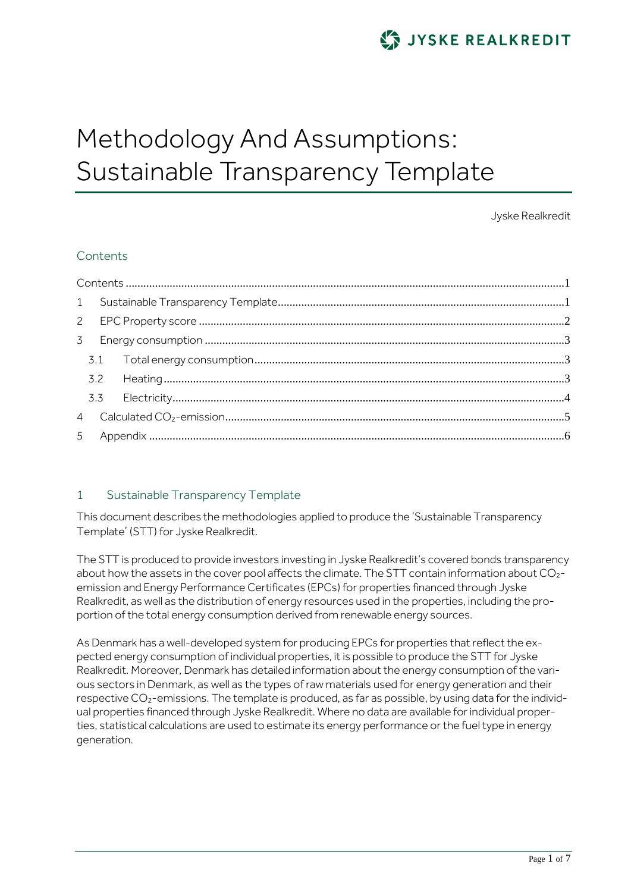

# Methodology And Assumptions: Sustainable Transparency Template

Jyske Realkredit

# <span id="page-0-0"></span>**Contents**

# <span id="page-0-1"></span>1 Sustainable Transparency Template

This document describes the methodologies applied to produce the 'Sustainable Transparency Template' (STT) for Jyske Realkredit.

The STT is produced to provide investors investing in Jyske Realkredit's covered bonds transparency about how the assets in the cover pool affects the climate. The STT contain information about  $CO<sub>2</sub>$ emission and Energy Performance Certificates (EPCs) for properties financed through Jyske Realkredit, as well as the distribution of energy resources used in the properties, including the proportion of the total energy consumption derived from renewable energy sources.

As Denmark has a well-developed system for producing EPCs for properties that reflect the expected energy consumption of individual properties, it is possible to produce the STT for Jyske Realkredit. Moreover, Denmark has detailed information about the energy consumption of the various sectors in Denmark, as well as the types of raw materials used for energy generation and their respective CO<sub>2</sub>-emissions. The template is produced, as far as possible, by using data for the individual properties financed through Jyske Realkredit. Where no data are available for individual properties, statistical calculations are used to estimate its energy performance or the fuel type in energy generation.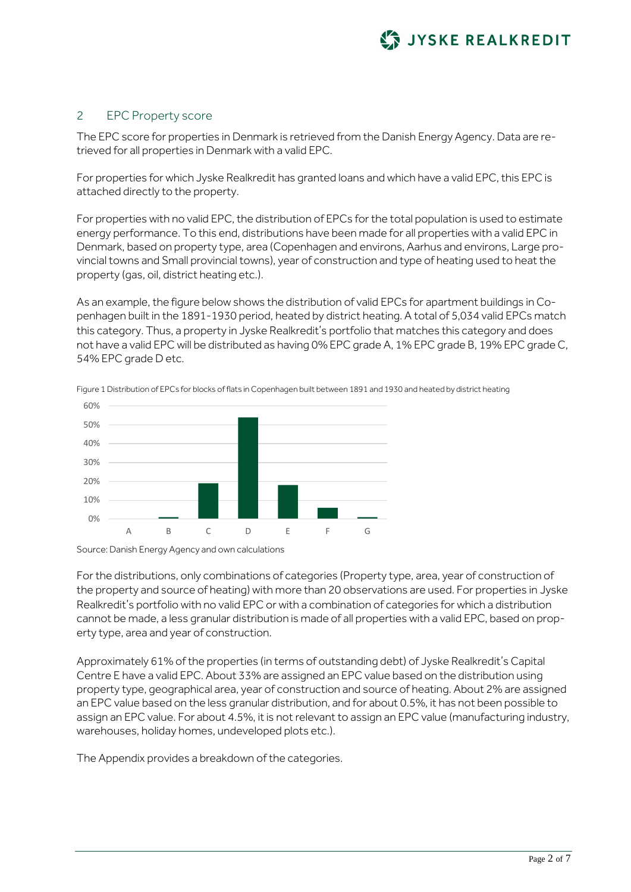

## <span id="page-1-0"></span>2 EPC Property score

The EPC score for properties in Denmark is retrieved from the Danish Energy Agency. Data are retrieved for all properties in Denmark with a valid EPC.

For properties for which Jyske Realkredit has granted loans and which have a valid EPC, this EPC is attached directly to the property.

For properties with no valid EPC, the distribution of EPCs for the total population is used to estimate energy performance. To this end, distributions have been made for all properties with a valid EPC in Denmark, based on property type, area (Copenhagen and environs, Aarhus and environs, Large provincial towns and Small provincial towns), year of construction and type of heating used to heat the property (gas, oil, district heating etc.).

As an example, the figure below shows the distribution of valid EPCs for apartment buildings in Copenhagen built in the 1891-1930 period, heated by district heating. A total of 5,034 valid EPCs match this category. Thus, a property in Jyske Realkredit's portfolio that matches this category and does not have a valid EPC will be distributed as having 0% EPC grade A, 1% EPC grade B, 19% EPC grade C, 54% EPC grade D etc.



Figure 1 Distribution of EPCs for blocks of flats in Copenhagen built between 1891 and 1930 and heated by district heating

Source: Danish Energy Agency and own calculations

For the distributions, only combinations of categories (Property type, area, year of construction of the property and source of heating) with more than 20 observations are used. For properties in Jyske Realkredit's portfolio with no valid EPC or with a combination of categories for which a distribution cannot be made, a less granular distribution is made of all properties with a valid EPC, based on property type, area and year of construction.

Approximately 61% of the properties (in terms of outstanding debt) of Jyske Realkredit's Capital Centre E have a valid EPC. About 33% are assigned an EPC value based on the distribution using property type, geographical area, year of construction and source of heating. About 2% are assigned an EPC value based on the less granular distribution, and for about 0.5%, it has not been possible to assign an EPC value. For about 4.5%, it is not relevant to assign an EPC value (manufacturing industry, warehouses, holiday homes, undeveloped plots etc.).

The Appendix provides a breakdown of the categories.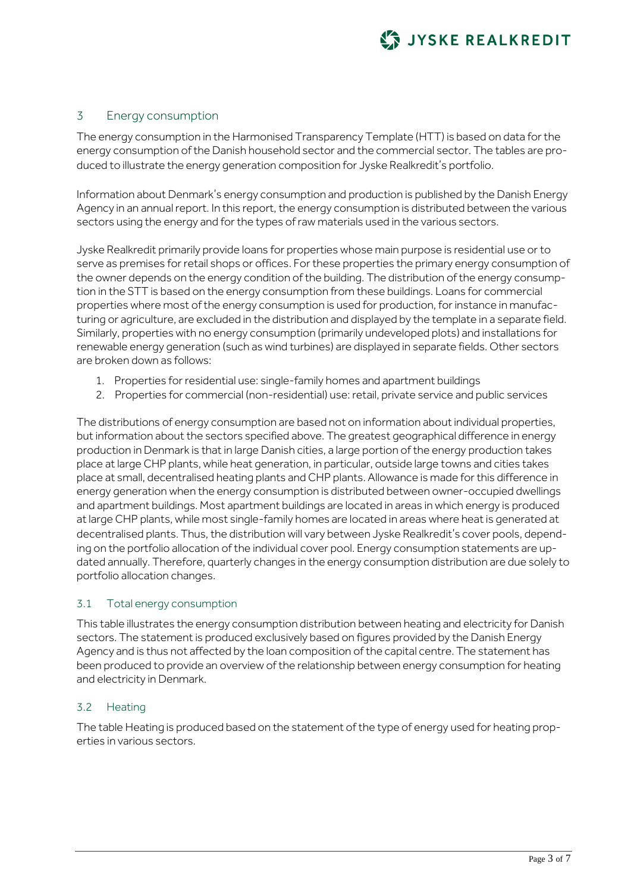

## <span id="page-2-0"></span>3 Energy consumption

The energy consumption in the Harmonised Transparency Template (HTT) is based on data for the energy consumption of the Danish household sector and the commercial sector. The tables are produced to illustrate the energy generation composition for Jyske Realkredit's portfolio.

Information about Denmark's energy consumption and production is published by the Danish Energy Agency in an annual report. In this report, the energy consumption is distributed between the various sectors using the energy and for the types of raw materials used in the various sectors.

Jyske Realkredit primarily provide loans for properties whose main purpose is residential use or to serve as premises for retail shops or offices. For these properties the primary energy consumption of the owner depends on the energy condition of the building. The distribution of the energy consumption in the STT is based on the energy consumption from these buildings. Loans for commercial properties where most of the energy consumption is used for production, for instance in manufacturing or agriculture, are excluded in the distribution and displayed by the template in a separate field. Similarly, properties with no energy consumption (primarily undeveloped plots) and installations for renewable energy generation (such as wind turbines) are displayed in separate fields. Other sectors are broken down as follows:

- 1. Properties for residential use: single-family homes and apartment buildings
- 2. Properties for commercial (non-residential) use: retail, private service and public services

The distributions of energy consumption are based not on information about individual properties, but information about the sectors specified above. The greatest geographical difference in energy production in Denmark is that in large Danish cities, a large portion of the energy production takes place at large CHP plants, while heat generation, in particular, outside large towns and cities takes place at small, decentralised heating plants and CHP plants. Allowance is made for this difference in energy generation when the energy consumption is distributed between owner-occupied dwellings and apartment buildings. Most apartment buildings are located in areas in which energy is produced at large CHP plants, while most single-family homes are located in areas where heat is generated at decentralised plants. Thus, the distribution will vary between Jyske Realkredit's cover pools, depending on the portfolio allocation of the individual cover pool. Energy consumption statements are updated annually. Therefore, quarterly changes in the energy consumption distribution are due solely to portfolio allocation changes.

#### <span id="page-2-1"></span>3.1 Total energy consumption

This table illustrates the energy consumption distribution between heating and electricity for Danish sectors. The statement is produced exclusively based on figures provided by the Danish Energy Agency and is thus not affected by the loan composition of the capital centre. The statement has been produced to provide an overview of the relationship between energy consumption for heating and electricity in Denmark.

#### <span id="page-2-2"></span>3.2 Heating

The table Heating is produced based on the statement of the type of energy used for heating properties in various sectors.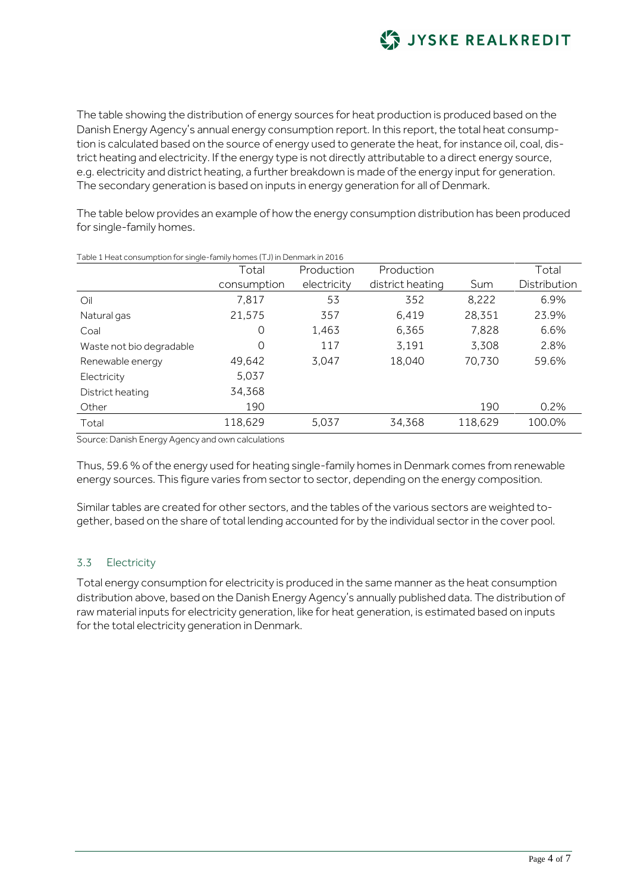

The table showing the distribution of energy sources for heat production is produced based on the Danish Energy Agency's annual energy consumption report. In this report, the total heat consumption is calculated based on the source of energy used to generate the heat, for instance oil, coal, district heating and electricity. If the energy type is not directly attributable to a direct energy source, e.g. electricity and district heating, a further breakdown is made of the energy input for generation. The secondary generation is based on inputs in energy generation for all of Denmark.

The table below provides an example of how the energy consumption distribution has been produced for single-family homes.

|                          | Total       | Production  | Production       |         | Total        |
|--------------------------|-------------|-------------|------------------|---------|--------------|
|                          | consumption | electricity | district heating | Sum     | Distribution |
| Oil                      | 7,817       | 53          | 352              | 8,222   | 6.9%         |
| Natural gas              | 21,575      | 357         | 6,419            | 28,351  | 23.9%        |
| Coal                     | 0           | 1,463       | 6,365            | 7,828   | 6.6%         |
| Waste not bio degradable | 0           | 117         | 3,191            | 3,308   | 2.8%         |
| Renewable energy         | 49,642      | 3.047       | 18,040           | 70,730  | 59.6%        |
| Electricity              | 5,037       |             |                  |         |              |
| District heating         | 34,368      |             |                  |         |              |
| Other                    | 190         |             |                  | 190     | 0.2%         |
| Total                    | 118,629     | 5,037       | 34,368           | 118,629 | 100.0%       |

Table 1 Heat consumption for single-family homes (TJ) in Denmark in 2016

Source: Danish Energy Agency and own calculations

Thus, 59.6 % of the energy used for heating single-family homes in Denmark comes from renewable energy sources. This figure varies from sector to sector, depending on the energy composition.

Similar tables are created for other sectors, and the tables of the various sectors are weighted together, based on the share of total lending accounted for by the individual sector in the cover pool.

## <span id="page-3-0"></span>3.3 Electricity

Total energy consumption for electricity is produced in the same manner as the heat consumption distribution above, based on the Danish Energy Agency's annually published data. The distribution of raw material inputs for electricity generation, like for heat generation, is estimated based on inputs for the total electricity generation in Denmark.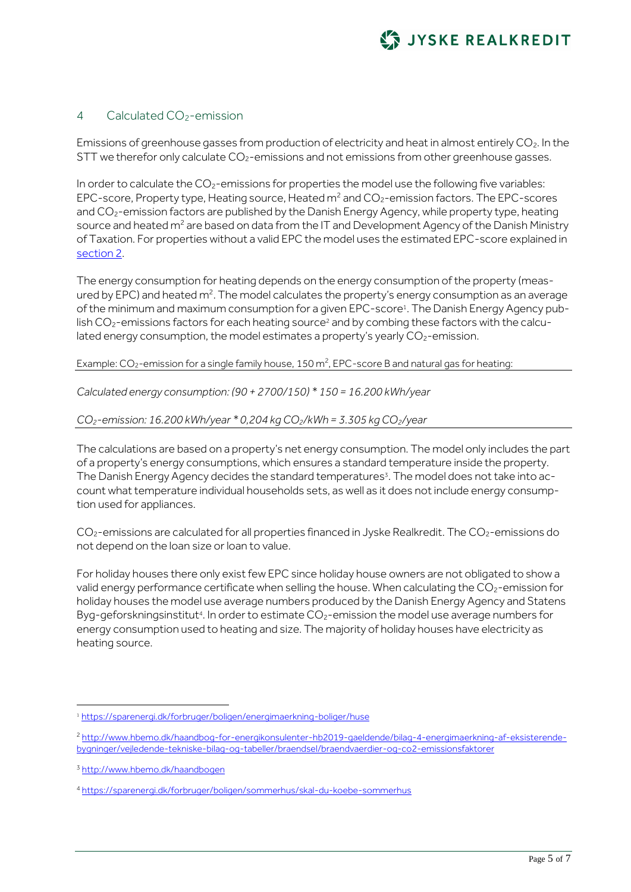

#### <span id="page-4-0"></span>4 Calculated CO<sub>2</sub>-emission

Emissions of greenhouse gasses from production of electricity and heat in almost entirely  $CO<sub>2</sub>$ . In the STT we therefor only calculate  $CO<sub>2</sub>$ -emissions and not emissions from other greenhouse gasses.

In order to calculate the  $CO<sub>2</sub>$ -emissions for properties the model use the following five variables: EPC-score, Property type, Heating source, Heated  $m^2$  and  $CO_2$ -emission factors. The EPC-scores and CO<sub>2</sub>-emission factors are published by the Danish Energy Agency, while property type, heating source and heated  $m^2$  are based on data from the IT and Development Agency of the Danish Ministry of Taxation. For properties without a valid EPC the model uses the estimated EPC-score explained in [section 2.](#page-1-0)

The energy consumption for heating depends on the energy consumption of the property (measured by EPC) and heated m<sup>2</sup>. The model calculates the property's energy consumption as an average of the minimum and maximum consumption for a given EPC-score<sup>1</sup> . The Danish Energy Agency publish  $CO<sub>2</sub>$ -emissions factors for each heating source<sup>2</sup> and by combing these factors with the calculated energy consumption, the model estimates a property's yearly CO<sub>2</sub>-emission.

Example: CO<sub>2</sub>-emission for a single family house, 150 m<sup>2</sup>, EPC-score B and natural gas for heating:

*Calculated energy consumption: (90 + 2700/150) \* 150 = 16.200 kWh/year*

*CO2-emission: 16.200 kWh/year \* 0,204 kg CO2/kWh = 3.305 kg CO2/year*

The calculations are based on a property's net energy consumption. The model only includes the part of a property's energy consumptions, which ensures a standard temperature inside the property. The Danish Energy Agency decides the standard temperatures<sup>3</sup>. The model does not take into account what temperature individual households sets, as well as it does not include energy consumption used for appliances.

 $CO<sub>2</sub>$ -emissions are calculated for all properties financed in Jyske Realkredit. The  $CO<sub>2</sub>$ -emissions do not depend on the loan size or loan to value.

For holiday houses there only exist few EPC since holiday house owners are not obligated to show a valid energy performance certificate when selling the house. When calculating the CO<sub>2</sub>-emission for holiday houses the model use average numbers produced by the Danish Energy Agency and Statens Byg-geforskningsinstitut<sup>4</sup>. In order to estimate  $CO<sub>2</sub>$ -emission the model use average numbers for energy consumption used to heating and size. The majority of holiday houses have electricity as heating source.

1

<sup>1</sup> <https://sparenergi.dk/forbruger/boligen/energimaerkning-boliger/huse>

<sup>2</sup> [http://www.hbemo.dk/haandbog-for-energikonsulenter-hb2019-gaeldende/bilag-4-energimaerkning-af-eksisterende](http://www.hbemo.dk/haandbog-for-energikonsulenter-hb2019-gaeldende/bilag-4-energimaerkning-af-eksisterende-bygninger/vejledende-tekniske-bilag-og-tabeller/braendsel/braendvaerdier-og-co2-emissionsfaktorer)[bygninger/vejledende-tekniske-bilag-og-tabeller/braendsel/braendvaerdier-og-co2-emissionsfaktorer](http://www.hbemo.dk/haandbog-for-energikonsulenter-hb2019-gaeldende/bilag-4-energimaerkning-af-eksisterende-bygninger/vejledende-tekniske-bilag-og-tabeller/braendsel/braendvaerdier-og-co2-emissionsfaktorer)

<sup>3</sup> <http://www.hbemo.dk/haandbogen>

<sup>4</sup> <https://sparenergi.dk/forbruger/boligen/sommerhus/skal-du-koebe-sommerhus>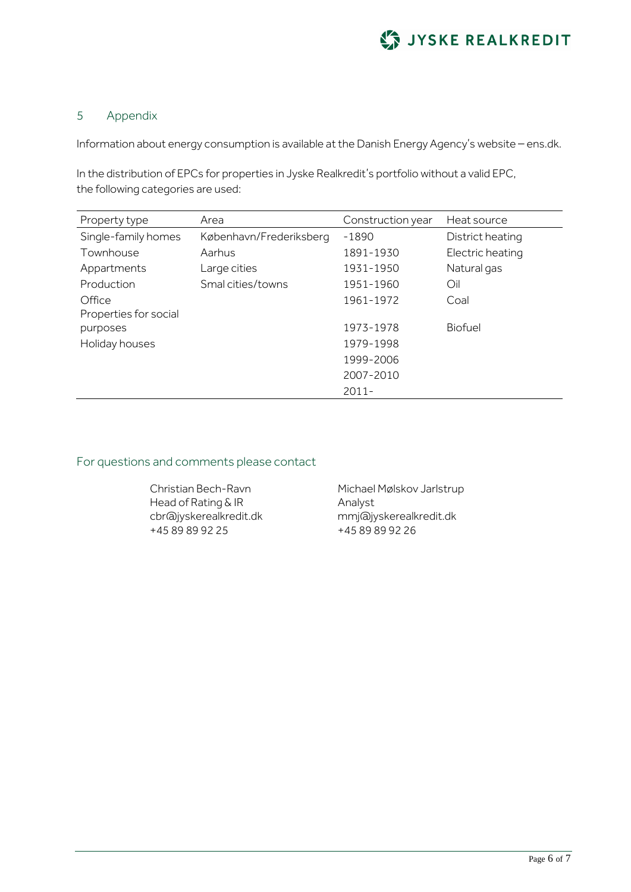

### <span id="page-5-0"></span>5 Appendix

Information about energy consumption is available at the Danish Energy Agency's website – ens.dk.

In the distribution of EPCs for properties in Jyske Realkredit's portfolio without a valid EPC, the following categories are used:

| Property type         | Area                    | Construction year | Heat source      |
|-----------------------|-------------------------|-------------------|------------------|
| Single-family homes   | København/Frederiksberg | $-1890$           | District heating |
| Townhouse             | Aarhus                  | 1891-1930         | Electric heating |
| Appartments           | Large cities            | 1931-1950         | Natural gas      |
| Production            | Smal cities/towns       | 1951-1960         | Oil              |
| Office                |                         | 1961-1972         | Coal             |
| Properties for social |                         |                   |                  |
| purposes              |                         | 1973-1978         | <b>Biofuel</b>   |
| Holiday houses        |                         | 1979-1998         |                  |
|                       |                         | 1999-2006         |                  |
|                       |                         | 2007-2010         |                  |
|                       |                         | $2011 -$          |                  |

## For questions and comments please contact

Christian Bech-Ravn Head of Rating & IR cbr@jyskerealkredit.dk +45 89 89 92 25

Michael Mølskov Jarlstrup Analyst mmj@jyskerealkredit.dk +45 89 89 92 26